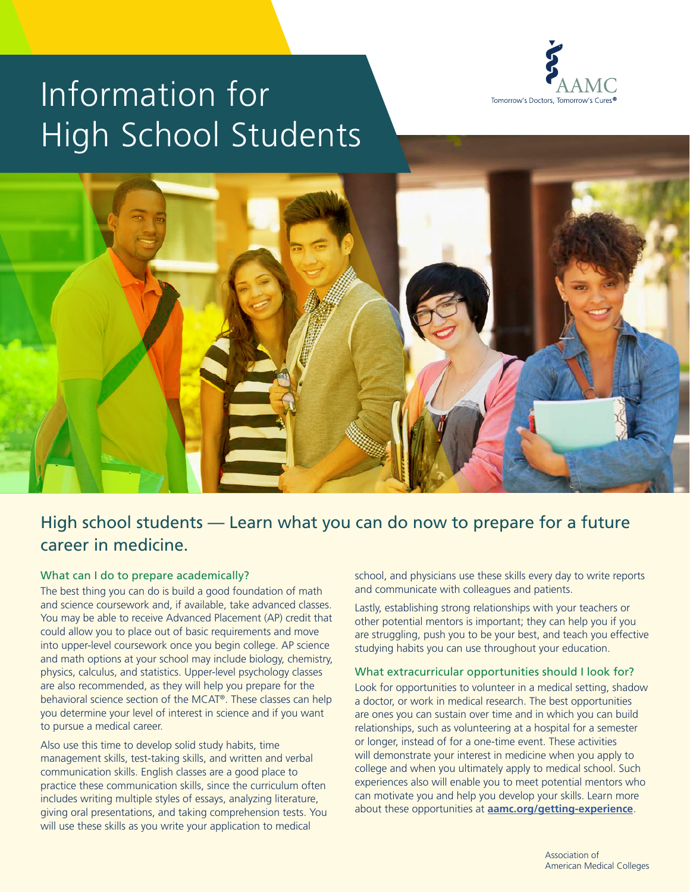

# Information for High School Students



# High school students — Learn what you can do now to prepare for a future career in medicine.

#### What can I do to prepare academically?

The best thing you can do is build a good foundation of math and science coursework and, if available, take advanced classes. You may be able to receive Advanced Placement (AP) credit that could allow you to place out of basic requirements and move into upper-level coursework once you begin college. AP science and math options at your school may include biology, chemistry, physics, calculus, and statistics. Upper-level psychology classes are also recommended, as they will help you prepare for the behavioral science section of the MCAT®. These classes can help you determine your level of interest in science and if you want to pursue a medical career.

Also use this time to develop solid study habits, time management skills, test-taking skills, and written and verbal communication skills. English classes are a good place to practice these communication skills, since the curriculum often includes writing multiple styles of essays, analyzing literature, giving oral presentations, and taking comprehension tests. You will use these skills as you write your application to medical

school, and physicians use these skills every day to write reports and communicate with colleagues and patients.

Lastly, establishing strong relationships with your teachers or other potential mentors is important; they can help you if you are struggling, push you to be your best, and teach you effective studying habits you can use throughout your education.

#### What extracurricular opportunities should I look for?

Look for opportunities to volunteer in a medical setting, shadow a doctor, or work in medical research. The best opportunities are ones you can sustain over time and in which you can build relationships, such as volunteering at a hospital for a semester or longer, instead of for a one-time event. These activities will demonstrate your interest in medicine when you apply to college and when you ultimately apply to medical school. Such experiences also will enable you to meet potential mentors who can motivate you and help you develop your skills. Learn more about these opportunities at **[aamc.org/getting-experience](http://aamc.org/getting-experience)**.